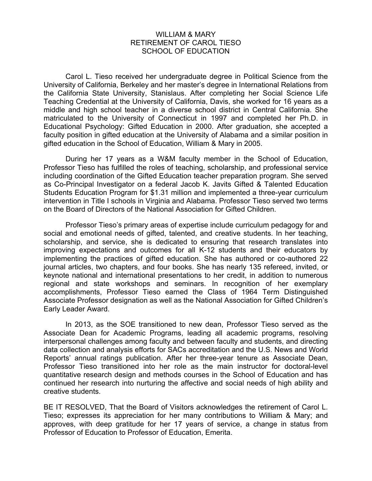## WILLIAM & MARY RETIREMENT OF CAROL TIESO SCHOOL OF EDUCATION

Carol L. Tieso received her undergraduate degree in Political Science from the University of California, Berkeley and her master's degree in International Relations from the California State University, Stanislaus. After completing her Social Science Life Teaching Credential at the University of California, Davis, she worked for 16 years as a middle and high school teacher in a diverse school district in Central California. She matriculated to the University of Connecticut in 1997 and completed her Ph.D. in Educational Psychology: Gifted Education in 2000. After graduation, she accepted a faculty position in gifted education at the University of Alabama and a similar position in gifted education in the School of Education, William & Mary in 2005.

During her 17 years as a W&M faculty member in the School of Education, Professor Tieso has fulfilled the roles of teaching, scholarship, and professional service including coordination of the Gifted Education teacher preparation program. She served as Co-Principal Investigator on a federal Jacob K. Javits Gifted & Talented Education Students Education Program for \$1.31 million and implemented a three-year curriculum intervention in Title I schools in Virginia and Alabama. Professor Tieso served two terms on the Board of Directors of the National Association for Gifted Children.

Professor Tieso's primary areas of expertise include curriculum pedagogy for and social and emotional needs of gifted, talented, and creative students. In her teaching, scholarship, and service, she is dedicated to ensuring that research translates into improving expectations and outcomes for all K-12 students and their educators by implementing the practices of gifted education. She has authored or co-authored 22 journal articles, two chapters, and four books. She has nearly 135 refereed, invited, or keynote national and international presentations to her credit, in addition to numerous regional and state workshops and seminars. In recognition of her exemplary accomplishments, Professor Tieso earned the Class of 1964 Term Distinguished Associate Professor designation as well as the National Association for Gifted Children's Early Leader Award.

In 2013, as the SOE transitioned to new dean, Professor Tieso served as the Associate Dean for Academic Programs, leading all academic programs, resolving interpersonal challenges among faculty and between faculty and students, and directing data collection and analysis efforts for SACs accreditation and the U.S. News and World Reports' annual ratings publication. After her three-year tenure as Associate Dean, Professor Tieso transitioned into her role as the main instructor for doctoral-level quantitative research design and methods courses in the School of Education and has continued her research into nurturing the affective and social needs of high ability and creative students.

BE IT RESOLVED, That the Board of Visitors acknowledges the retirement of Carol L. Tieso; expresses its appreciation for her many contributions to William & Mary; and approves, with deep gratitude for her 17 years of service, a change in status from Professor of Education to Professor of Education, Emerita.